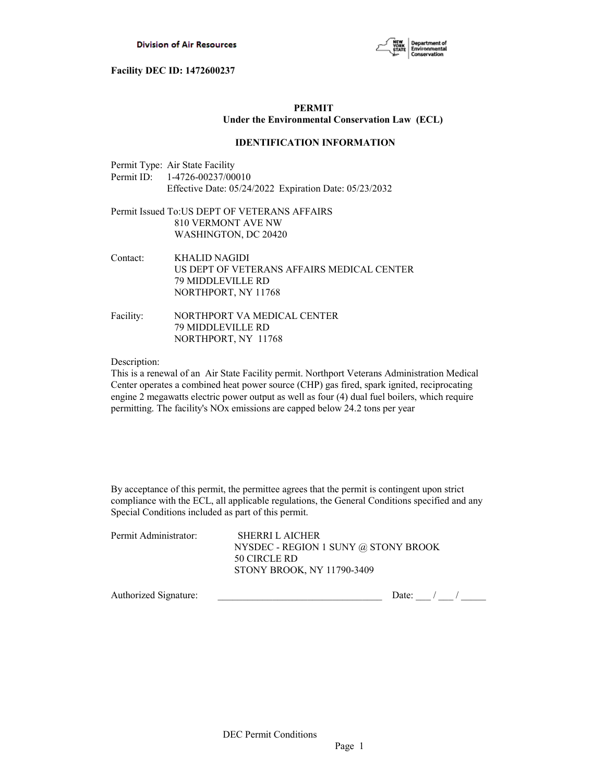

# **PERMIT Under the Environmental Conservation Law (ECL)**

#### **IDENTIFICATION INFORMATION**

| Permit Type: Air State Facility                        |
|--------------------------------------------------------|
| Permit ID: $1-4726-00237/00010$                        |
| Effective Date: 05/24/2022 Expiration Date: 05/23/2032 |

# Permit Issued To:US DEPT OF VETERANS AFFAIRS 810 VERMONT AVE NW WASHINGTON, DC 20420

| Contact: | KHALID NAGIDI                              |
|----------|--------------------------------------------|
|          | US DEPT OF VETERANS AFFAIRS MEDICAL CENTER |
|          | <b>79 MIDDLEVILLE RD</b>                   |
|          | NORTHPORT, NY 11768                        |

Facility: NORTHPORT VA MEDICAL CENTER 79 MIDDLEVILLE RD NORTHPORT, NY 11768

Description:

This is a renewal of an Air State Facility permit. Northport Veterans Administration Medical Center operates a combined heat power source (CHP) gas fired, spark ignited, reciprocating engine 2 megawatts electric power output as well as four (4) dual fuel boilers, which require permitting. The facility's NOx emissions are capped below 24.2 tons per year

By acceptance of this permit, the permittee agrees that the permit is contingent upon strict compliance with the ECL, all applicable regulations, the General Conditions specified and any Special Conditions included as part of this permit.

| Permit Administrator: | SHERRI L AICHER                      |
|-----------------------|--------------------------------------|
|                       | NYSDEC - REGION 1 SUNY @ STONY BROOK |
|                       | 50 CIRCLE RD                         |
|                       | STONY BROOK, NY 11790-3409           |
|                       |                                      |

| Autho<br>nature:<br>izea<br>.101 |  |  |
|----------------------------------|--|--|
|                                  |  |  |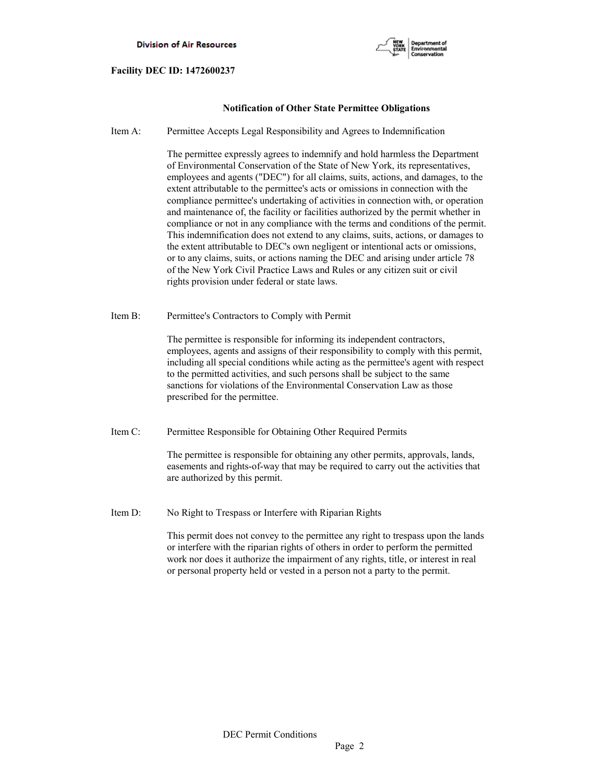

# **Notification of Other State Permittee Obligations**

Item A: Permittee Accepts Legal Responsibility and Agrees to Indemnification

 The permittee expressly agrees to indemnify and hold harmless the Department of Environmental Conservation of the State of New York, its representatives, employees and agents ("DEC") for all claims, suits, actions, and damages, to the extent attributable to the permittee's acts or omissions in connection with the compliance permittee's undertaking of activities in connection with, or operation and maintenance of, the facility or facilities authorized by the permit whether in compliance or not in any compliance with the terms and conditions of the permit. This indemnification does not extend to any claims, suits, actions, or damages to the extent attributable to DEC's own negligent or intentional acts or omissions, or to any claims, suits, or actions naming the DEC and arising under article 78 of the New York Civil Practice Laws and Rules or any citizen suit or civil rights provision under federal or state laws.

Item B: Permittee's Contractors to Comply with Permit

 The permittee is responsible for informing its independent contractors, employees, agents and assigns of their responsibility to comply with this permit, including all special conditions while acting as the permittee's agent with respect to the permitted activities, and such persons shall be subject to the same sanctions for violations of the Environmental Conservation Law as those prescribed for the permittee.

Item C: Permittee Responsible for Obtaining Other Required Permits

 The permittee is responsible for obtaining any other permits, approvals, lands, easements and rights-of-way that may be required to carry out the activities that are authorized by this permit.

Item D: No Right to Trespass or Interfere with Riparian Rights

 This permit does not convey to the permittee any right to trespass upon the lands or interfere with the riparian rights of others in order to perform the permitted work nor does it authorize the impairment of any rights, title, or interest in real or personal property held or vested in a person not a party to the permit.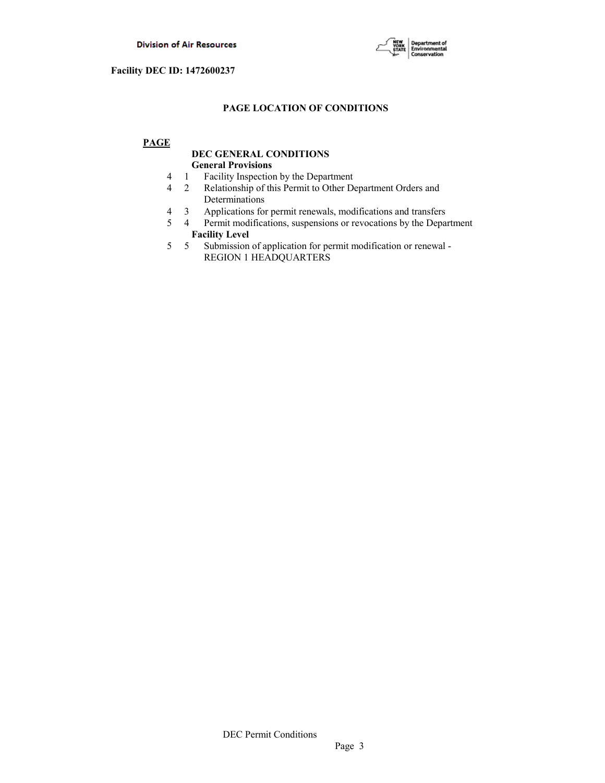

# **PAGE LOCATION OF CONDITIONS**

# **PAGE**

# **DEC GENERAL CONDITIONS General Provisions**

- 4 1 Facility Inspection by the Department
- 4 2 Relationship of this Permit to Other Department Orders and Determinations
- 4 3 Applications for permit renewals, modifications and transfers
- 5 4 Permit modifications, suspensions or revocations by the Department
- **Facility Level**<br>5 5 Submission 5 5 Submission of application for permit modification or renewal - REGION 1 HEADQUARTERS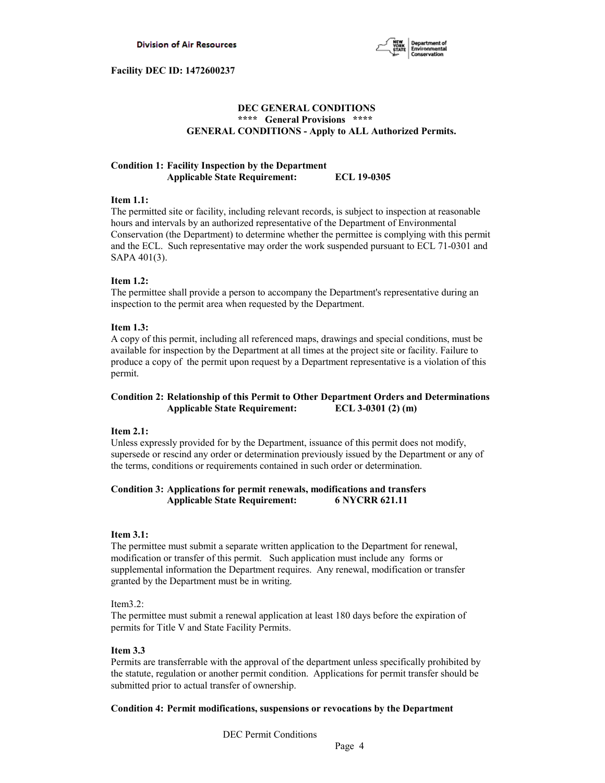

# **DEC GENERAL CONDITIONS \*\*\*\* General Provisions \*\*\*\* GENERAL CONDITIONS - Apply to ALL Authorized Permits.**

# **Condition 1: Facility Inspection by the Department Applicable State Requirement: ECL 19-0305**

#### **Item 1.1:**

The permitted site or facility, including relevant records, is subject to inspection at reasonable hours and intervals by an authorized representative of the Department of Environmental Conservation (the Department) to determine whether the permittee is complying with this permit and the ECL. Such representative may order the work suspended pursuant to ECL 71-0301 and SAPA 401(3).

# **Item 1.2:**

The permittee shall provide a person to accompany the Department's representative during an inspection to the permit area when requested by the Department.

# **Item 1.3:**

A copy of this permit, including all referenced maps, drawings and special conditions, must be available for inspection by the Department at all times at the project site or facility. Failure to produce a copy of the permit upon request by a Department representative is a violation of this permit.

# **Condition 2: Relationship of this Permit to Other Department Orders and Determinations Applicable State Requirement: ECL 3-0301 (2) (m)**

# **Item 2.1:**

Unless expressly provided for by the Department, issuance of this permit does not modify, supersede or rescind any order or determination previously issued by the Department or any of the terms, conditions or requirements contained in such order or determination.

# **Condition 3: Applications for permit renewals, modifications and transfers Applicable State Requirement: 6 NYCRR 621.11**

# **Item 3.1:**

The permittee must submit a separate written application to the Department for renewal, modification or transfer of this permit. Such application must include any forms or supplemental information the Department requires. Any renewal, modification or transfer granted by the Department must be in writing.

# Item3.2:

The permittee must submit a renewal application at least 180 days before the expiration of permits for Title V and State Facility Permits.

# **Item 3.3**

Permits are transferrable with the approval of the department unless specifically prohibited by the statute, regulation or another permit condition. Applications for permit transfer should be submitted prior to actual transfer of ownership.

# **Condition 4: Permit modifications, suspensions or revocations by the Department**

DEC Permit Conditions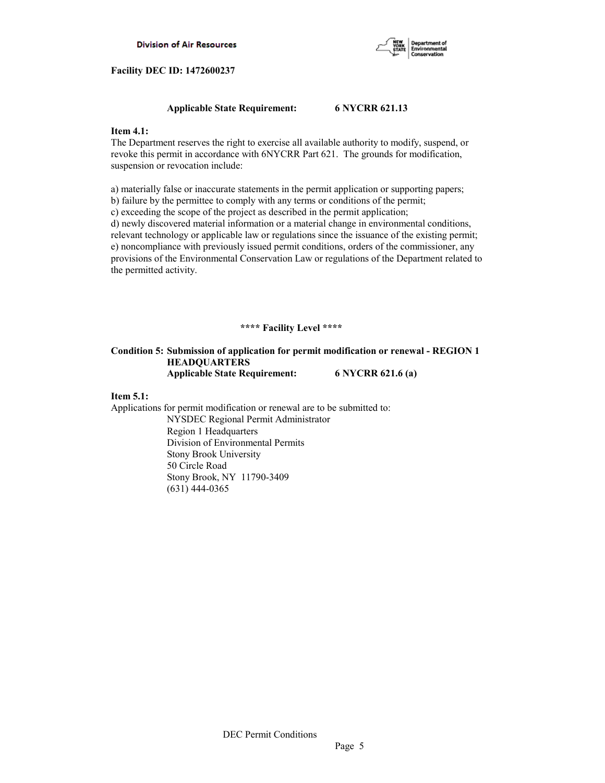

# **Applicable State Requirement: 6 NYCRR 621.13**

# **Item 4.1:**

The Department reserves the right to exercise all available authority to modify, suspend, or revoke this permit in accordance with 6NYCRR Part 621. The grounds for modification, suspension or revocation include:

a) materially false or inaccurate statements in the permit application or supporting papers; b) failure by the permittee to comply with any terms or conditions of the permit;

c) exceeding the scope of the project as described in the permit application;

d) newly discovered material information or a material change in environmental conditions, relevant technology or applicable law or regulations since the issuance of the existing permit; e) noncompliance with previously issued permit conditions, orders of the commissioner, any provisions of the Environmental Conservation Law or regulations of the Department related to the permitted activity.

# **\*\*\*\* Facility Level \*\*\*\***

# **Condition 5: Submission of application for permit modification or renewal - REGION 1 HEADQUARTERS Applicable State Requirement: 6 NYCRR 621.6 (a)**

# **Item 5.1:**

Applications for permit modification or renewal are to be submitted to: NYSDEC Regional Permit Administrator Region 1 Headquarters Division of Environmental Permits Stony Brook University 50 Circle Road Stony Brook, NY 11790-3409 (631) 444-0365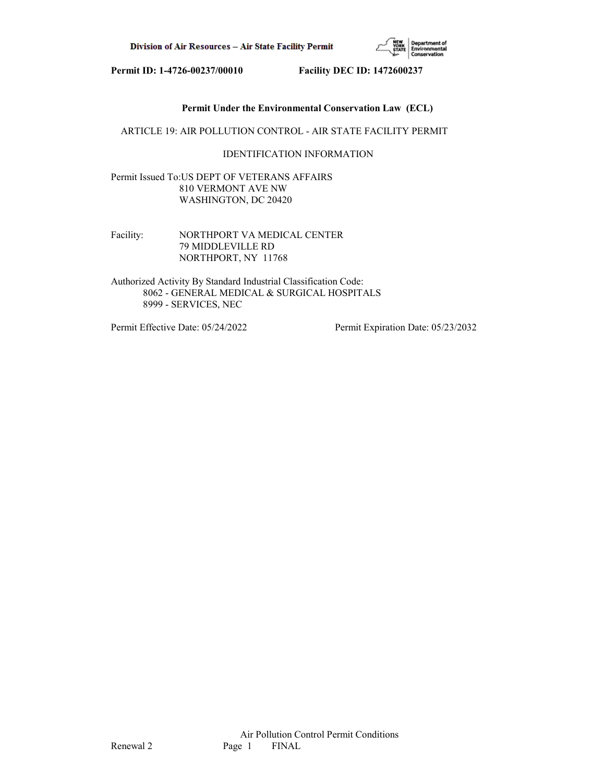

# **Permit Under the Environmental Conservation Law (ECL)**

ARTICLE 19: AIR POLLUTION CONTROL - AIR STATE FACILITY PERMIT

# IDENTIFICATION INFORMATION

Permit Issued To:US DEPT OF VETERANS AFFAIRS 810 VERMONT AVE NW WASHINGTON, DC 20420

Facility: NORTHPORT VA MEDICAL CENTER 79 MIDDLEVILLE RD NORTHPORT, NY 11768

Authorized Activity By Standard Industrial Classification Code: 8062 - GENERAL MEDICAL & SURGICAL HOSPITALS 8999 - SERVICES, NEC

Permit Effective Date: 05/24/2022 Permit Expiration Date: 05/23/2032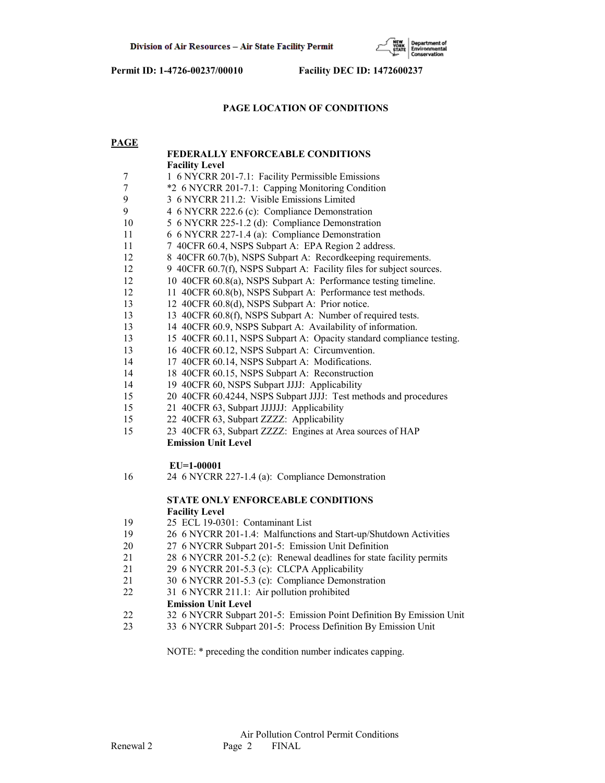

# **PAGE LOCATION OF CONDITIONS**

# **PAGE**

|                | FEDERALLY ENFORCEABLE CONDITIONS                                     |
|----------------|----------------------------------------------------------------------|
|                | <b>Facility Level</b>                                                |
| 7              | 1 6 NYCRR 201-7.1: Facility Permissible Emissions                    |
| $\overline{7}$ | *2 6 NYCRR 201-7.1: Capping Monitoring Condition                     |
| 9              | 3 6 NYCRR 211.2: Visible Emissions Limited                           |
| 9              | 4 6 NYCRR 222.6 (c): Compliance Demonstration                        |
| 10             | 5 6 NYCRR 225-1.2 (d): Compliance Demonstration                      |
| 11             | 6 6 NYCRR 227-1.4 (a): Compliance Demonstration                      |
| 11             | 7 40CFR 60.4, NSPS Subpart A: EPA Region 2 address.                  |
| 12             | 8 40CFR 60.7(b), NSPS Subpart A: Recordkeeping requirements.         |
| 12             | 9 40CFR 60.7(f), NSPS Subpart A: Facility files for subject sources. |
| 12             | 10 40CFR 60.8(a), NSPS Subpart A: Performance testing timeline.      |
| 12             | 11 40CFR 60.8(b), NSPS Subpart A: Performance test methods.          |
| 13             | 12 40CFR 60.8(d), NSPS Subpart A: Prior notice.                      |
| 13             | 13 40CFR 60.8(f), NSPS Subpart A: Number of required tests.          |
| 13             | 14 40CFR 60.9, NSPS Subpart A: Availability of information.          |
| 13             | 15 40CFR 60.11, NSPS Subpart A: Opacity standard compliance testing. |
| 13             | 16 40CFR 60.12, NSPS Subpart A: Circumvention.                       |
| 14             | 17 40CFR 60.14, NSPS Subpart A: Modifications.                       |
| 14             | 18 40CFR 60.15, NSPS Subpart A: Reconstruction                       |
| 14             | 19 40CFR 60, NSPS Subpart JJJJ: Applicability                        |
| 15             | 20 40CFR 60.4244, NSPS Subpart JJJJ: Test methods and procedures     |
| 15             | 21 40CFR 63, Subpart JJJJJJ: Applicability                           |
| 15             | 22 40CFR 63, Subpart ZZZZ: Applicability                             |
| 15             | 23 40CFR 63, Subpart ZZZZ: Engines at Area sources of HAP            |
|                | <b>Emission Unit Level</b>                                           |
|                | $EU=1-00001$                                                         |
| 16             | 24 6 NYCRR 227-1.4 (a): Compliance Demonstration                     |
|                |                                                                      |
|                | STATE ONLY ENFORCEABLE CONDITIONS                                    |
|                | <b>Facility Level</b>                                                |
| 19             | 25 ECL 19-0301: Contaminant List                                     |
| 19             | 26 6 NYCRR 201-1.4: Malfunctions and Start-up/Shutdown Activities    |
| 20             | 27 6 NYCRR Subpart 201-5: Emission Unit Definition                   |
| 21             | 28 6 NYCRR 201-5.2 (c): Renewal deadlines for state facility permits |
| 21             | 29 6 NYCRR 201-5.3 (c): CLCPA Applicability                          |
| 21             | 30 6 NYCRR 201-5.3 (c): Compliance Demonstration                     |
| 22             | 31 6 NYCRR 211.1: Air pollution prohibited                           |
|                | <b>Emission Unit Level</b>                                           |
| 22             | 32 6 NYCRR Subpart 201-5: Emission Point Definition By Emission Unit |
| 23             | 33 6 NYCRR Subpart 201-5: Process Definition By Emission Unit        |

NOTE: \* preceding the condition number indicates capping.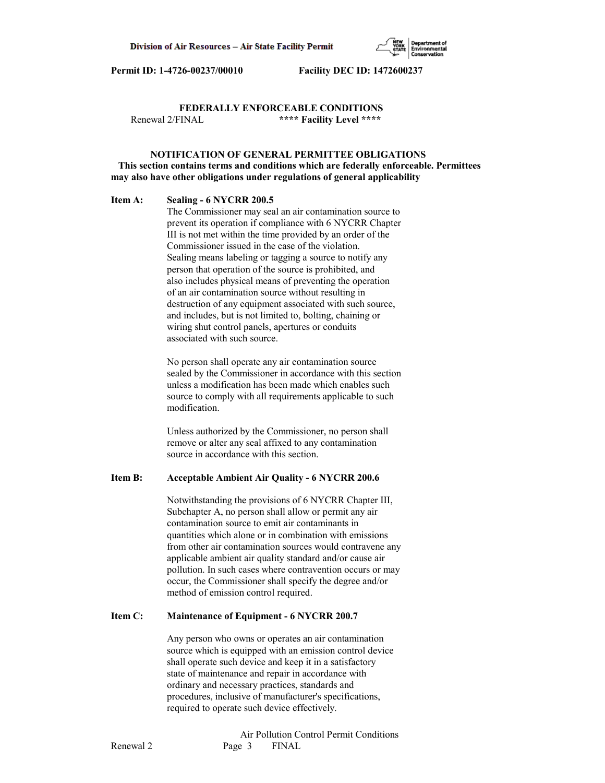

# **FEDERALLY ENFORCEABLE CONDITIONS** Renewal 2/FINAL **\*\*\*\* Facility Level \*\*\*\***

# **NOTIFICATION OF GENERAL PERMITTEE OBLIGATIONS This section contains terms and conditions which are federally enforceable. Permittees may also have other obligations under regulations of general applicability**

# **Item A: Sealing - 6 NYCRR 200.5**

 The Commissioner may seal an air contamination source to prevent its operation if compliance with 6 NYCRR Chapter III is not met within the time provided by an order of the Commissioner issued in the case of the violation. Sealing means labeling or tagging a source to notify any person that operation of the source is prohibited, and also includes physical means of preventing the operation of an air contamination source without resulting in destruction of any equipment associated with such source, and includes, but is not limited to, bolting, chaining or wiring shut control panels, apertures or conduits associated with such source.

 No person shall operate any air contamination source sealed by the Commissioner in accordance with this section unless a modification has been made which enables such source to comply with all requirements applicable to such modification.

 Unless authorized by the Commissioner, no person shall remove or alter any seal affixed to any contamination source in accordance with this section.

# **Item B: Acceptable Ambient Air Quality - 6 NYCRR 200.6**

 Notwithstanding the provisions of 6 NYCRR Chapter III, Subchapter A, no person shall allow or permit any air contamination source to emit air contaminants in quantities which alone or in combination with emissions from other air contamination sources would contravene any applicable ambient air quality standard and/or cause air pollution. In such cases where contravention occurs or may occur, the Commissioner shall specify the degree and/or method of emission control required.

#### **Item C: Maintenance of Equipment - 6 NYCRR 200.7**

 Any person who owns or operates an air contamination source which is equipped with an emission control device shall operate such device and keep it in a satisfactory state of maintenance and repair in accordance with ordinary and necessary practices, standards and procedures, inclusive of manufacturer's specifications, required to operate such device effectively.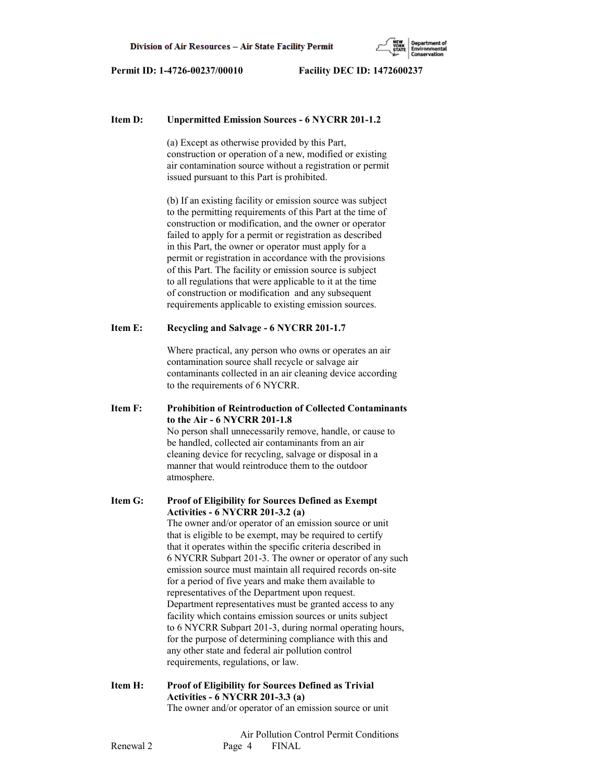

#### **Item D: Unpermitted Emission Sources - 6 NYCRR 201-1.2**

 (a) Except as otherwise provided by this Part, construction or operation of a new, modified or existing air contamination source without a registration or permit issued pursuant to this Part is prohibited.

 (b) If an existing facility or emission source was subject to the permitting requirements of this Part at the time of construction or modification, and the owner or operator failed to apply for a permit or registration as described in this Part, the owner or operator must apply for a permit or registration in accordance with the provisions of this Part. The facility or emission source is subject to all regulations that were applicable to it at the time of construction or modification and any subsequent requirements applicable to existing emission sources.

### **Item E: Recycling and Salvage - 6 NYCRR 201-1.7**

 Where practical, any person who owns or operates an air contamination source shall recycle or salvage air contaminants collected in an air cleaning device according to the requirements of 6 NYCRR.

**Item F: Prohibition of Reintroduction of Collected Contaminants to the Air - 6 NYCRR 201-1.8** No person shall unnecessarily remove, handle, or cause to be handled, collected air contaminants from an air cleaning device for recycling, salvage or disposal in a manner that would reintroduce them to the outdoor atmosphere.

**Item G: Proof of Eligibility for Sources Defined as Exempt Activities - 6 NYCRR 201-3.2 (a)** The owner and/or operator of an emission source or unit that is eligible to be exempt, may be required to certify that it operates within the specific criteria described in 6 NYCRR Subpart 201-3. The owner or operator of any such emission source must maintain all required records on-site for a period of five years and make them available to representatives of the Department upon request. Department representatives must be granted access to any facility which contains emission sources or units subject to 6 NYCRR Subpart 201-3, during normal operating hours, for the purpose of determining compliance with this and any other state and federal air pollution control requirements, regulations, or law.

**Item H: Proof of Eligibility for Sources Defined as Trivial Activities - 6 NYCRR 201-3.3 (a)** The owner and/or operator of an emission source or unit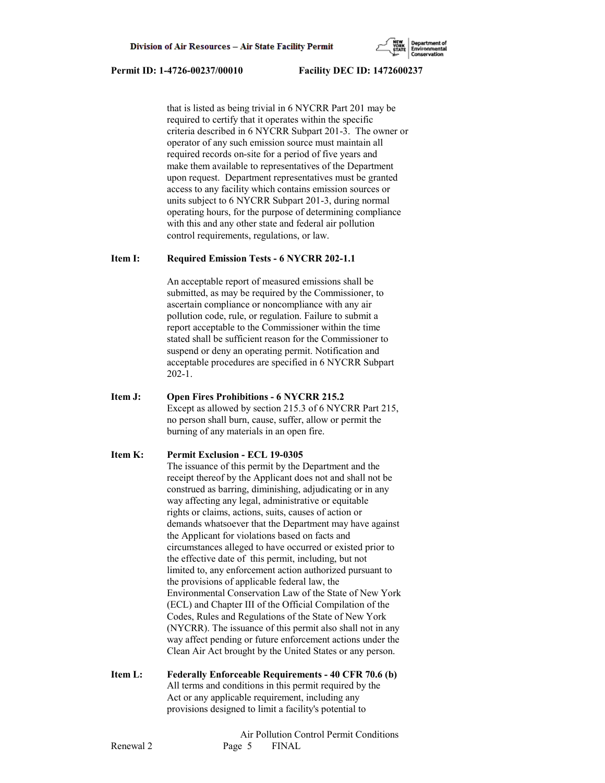that is listed as being trivial in 6 NYCRR Part 201 may be required to certify that it operates within the specific criteria described in 6 NYCRR Subpart 201-3. The owner or operator of any such emission source must maintain all required records on-site for a period of five years and make them available to representatives of the Department upon request. Department representatives must be granted access to any facility which contains emission sources or units subject to 6 NYCRR Subpart 201-3, during normal operating hours, for the purpose of determining compliance with this and any other state and federal air pollution control requirements, regulations, or law.

# **Item I: Required Emission Tests - 6 NYCRR 202-1.1**

 An acceptable report of measured emissions shall be submitted, as may be required by the Commissioner, to ascertain compliance or noncompliance with any air pollution code, rule, or regulation. Failure to submit a report acceptable to the Commissioner within the time stated shall be sufficient reason for the Commissioner to suspend or deny an operating permit. Notification and acceptable procedures are specified in 6 NYCRR Subpart 202-1.

**Item J: Open Fires Prohibitions - 6 NYCRR 215.2** Except as allowed by section 215.3 of 6 NYCRR Part 215, no person shall burn, cause, suffer, allow or permit the burning of any materials in an open fire.

# **Item K: Permit Exclusion - ECL 19-0305**

 The issuance of this permit by the Department and the receipt thereof by the Applicant does not and shall not be construed as barring, diminishing, adjudicating or in any way affecting any legal, administrative or equitable rights or claims, actions, suits, causes of action or demands whatsoever that the Department may have against the Applicant for violations based on facts and circumstances alleged to have occurred or existed prior to the effective date of this permit, including, but not limited to, any enforcement action authorized pursuant to the provisions of applicable federal law, the Environmental Conservation Law of the State of New York (ECL) and Chapter III of the Official Compilation of the Codes, Rules and Regulations of the State of New York (NYCRR). The issuance of this permit also shall not in any way affect pending or future enforcement actions under the Clean Air Act brought by the United States or any person.

**Item L: Federally Enforceable Requirements - 40 CFR 70.6 (b)** All terms and conditions in this permit required by the Act or any applicable requirement, including any provisions designed to limit a facility's potential to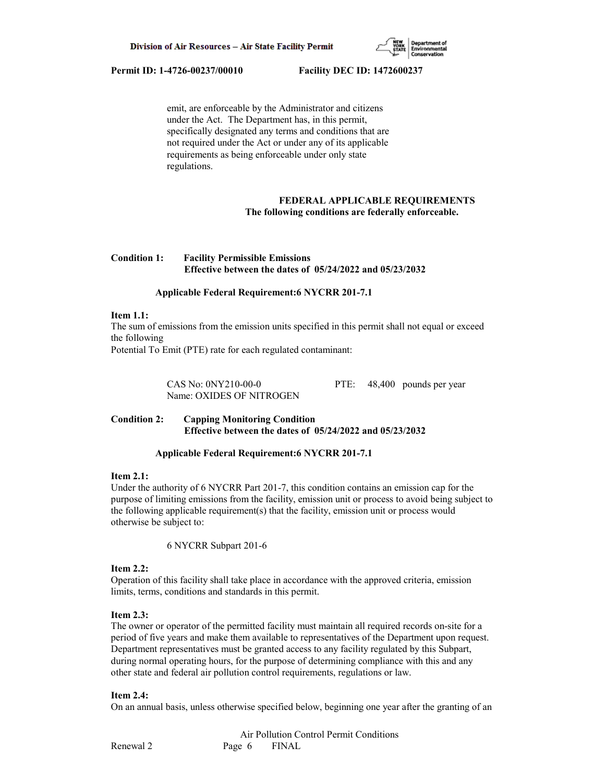

 emit, are enforceable by the Administrator and citizens under the Act. The Department has, in this permit, specifically designated any terms and conditions that are not required under the Act or under any of its applicable requirements as being enforceable under only state regulations.

# **FEDERAL APPLICABLE REQUIREMENTS The following conditions are federally enforceable.**

# **Condition 1: Facility Permissible Emissions Effective between the dates of 05/24/2022 and 05/23/2032**

# **Applicable Federal Requirement:6 NYCRR 201-7.1**

#### **Item 1.1:**

The sum of emissions from the emission units specified in this permit shall not equal or exceed the following

Potential To Emit (PTE) rate for each regulated contaminant:

 CAS No: 0NY210-00-0 PTE: 48,400 pounds per year Name: OXIDES OF NITROGEN

# **Condition 2: Capping Monitoring Condition Effective between the dates of 05/24/2022 and 05/23/2032**

#### **Applicable Federal Requirement:6 NYCRR 201-7.1**

#### **Item 2.1:**

Under the authority of 6 NYCRR Part 201-7, this condition contains an emission cap for the purpose of limiting emissions from the facility, emission unit or process to avoid being subject to the following applicable requirement(s) that the facility, emission unit or process would otherwise be subject to:

6 NYCRR Subpart 201-6

#### **Item 2.2:**

Operation of this facility shall take place in accordance with the approved criteria, emission limits, terms, conditions and standards in this permit.

#### **Item 2.3:**

The owner or operator of the permitted facility must maintain all required records on-site for a period of five years and make them available to representatives of the Department upon request. Department representatives must be granted access to any facility regulated by this Subpart, during normal operating hours, for the purpose of determining compliance with this and any other state and federal air pollution control requirements, regulations or law.

#### **Item 2.4:**

On an annual basis, unless otherwise specified below, beginning one year after the granting of an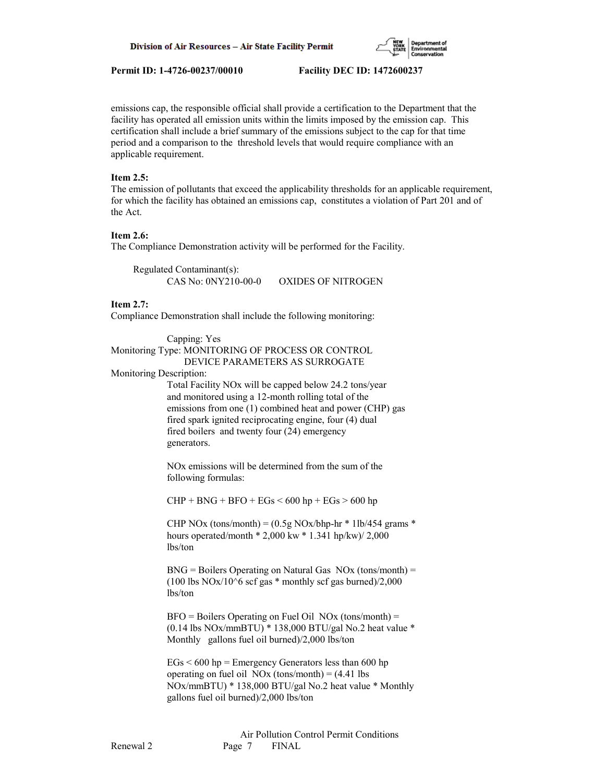

emissions cap, the responsible official shall provide a certification to the Department that the facility has operated all emission units within the limits imposed by the emission cap. This certification shall include a brief summary of the emissions subject to the cap for that time period and a comparison to the threshold levels that would require compliance with an applicable requirement.

#### **Item 2.5:**

The emission of pollutants that exceed the applicability thresholds for an applicable requirement, for which the facility has obtained an emissions cap, constitutes a violation of Part 201 and of the Act.

#### **Item 2.6:**

The Compliance Demonstration activity will be performed for the Facility.

 Regulated Contaminant(s): CAS No: 0NY210-00-0 OXIDES OF NITROGEN

### **Item 2.7:**

Compliance Demonstration shall include the following monitoring:

 Capping: Yes Monitoring Type: MONITORING OF PROCESS OR CONTROL DEVICE PARAMETERS AS SURROGATE Monitoring Description: Total Facility NOx will be capped below 24.2 tons/year and monitored using a 12-month rolling total of the

 emissions from one (1) combined heat and power (CHP) gas fired spark ignited reciprocating engine, four (4) dual fired boilers and twenty four (24) emergency generators.

 NOx emissions will be determined from the sum of the following formulas:

 $CHP + BNG + BFO + EGs < 600$  hp + EGs > 600 hp

CHP NOx (tons/month) =  $(0.5g$  NOx/bhp-hr  $*$  1lb/454 grams  $*$  hours operated/month \* 2,000 kw \* 1.341 hp/kw)/ 2,000 lbs/ton

 $BNG =$  Boilers Operating on Natural Gas  $NOx$  (tons/month) = (100 lbs  $NOx/10$ <sup>6</sup> scf gas \* monthly scf gas burned)/2,000 lbs/ton

 $BFO = Boilers$  Operating on Fuel Oil NOx (tons/month) = (0.14 lbs NOx/mmBTU) \* 138,000 BTU/gal No.2 heat value \* Monthly gallons fuel oil burned)/2,000 lbs/ton

 $EGs < 600$  hp = Emergency Generators less than 600 hp operating on fuel oil  $NOx$  (tons/month) =  $(4.41$  lbs NOx/mmBTU) \* 138,000 BTU/gal No.2 heat value \* Monthly gallons fuel oil burned)/2,000 lbs/ton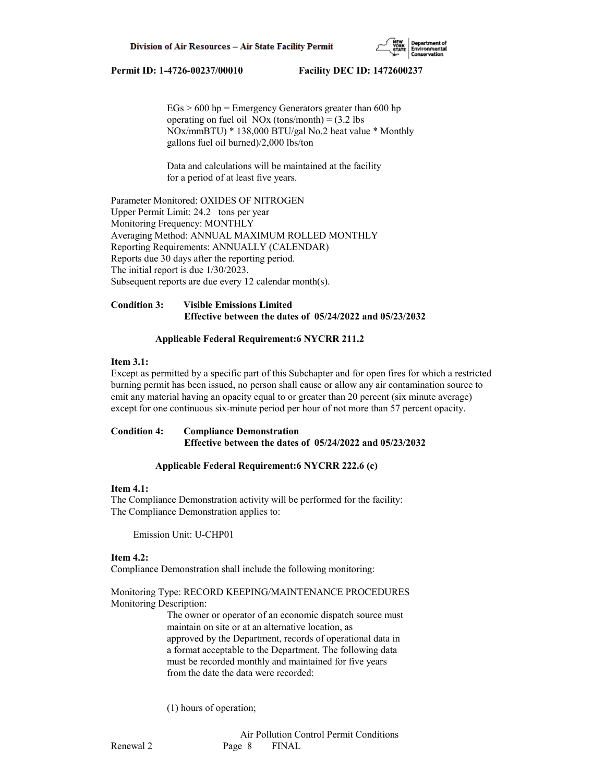

 $EGs > 600$  hp = Emergency Generators greater than 600 hp operating on fuel oil  $NOx$  (tons/month) = (3.2 lbs NOx/mmBTU) \* 138,000 BTU/gal No.2 heat value \* Monthly gallons fuel oil burned)/2,000 lbs/ton

 Data and calculations will be maintained at the facility for a period of at least five years.

Parameter Monitored: OXIDES OF NITROGEN Upper Permit Limit: 24.2 tons per year Monitoring Frequency: MONTHLY Averaging Method: ANNUAL MAXIMUM ROLLED MONTHLY Reporting Requirements: ANNUALLY (CALENDAR) Reports due 30 days after the reporting period. The initial report is due 1/30/2023. Subsequent reports are due every 12 calendar month(s).

# **Condition 3: Visible Emissions Limited Effective between the dates of 05/24/2022 and 05/23/2032**

# **Applicable Federal Requirement:6 NYCRR 211.2**

# **Item 3.1:**

Except as permitted by a specific part of this Subchapter and for open fires for which a restricted burning permit has been issued, no person shall cause or allow any air contamination source to emit any material having an opacity equal to or greater than 20 percent (six minute average) except for one continuous six-minute period per hour of not more than 57 percent opacity.

# **Condition 4: Compliance Demonstration Effective between the dates of 05/24/2022 and 05/23/2032**

# **Applicable Federal Requirement:6 NYCRR 222.6 (c)**

### **Item 4.1:**

The Compliance Demonstration activity will be performed for the facility: The Compliance Demonstration applies to:

Emission Unit: U-CHP01

# **Item 4.2:**

Compliance Demonstration shall include the following monitoring:

Monitoring Type: RECORD KEEPING/MAINTENANCE PROCEDURES Monitoring Description:

> The owner or operator of an economic dispatch source must maintain on site or at an alternative location, as approved by the Department, records of operational data in a format acceptable to the Department. The following data must be recorded monthly and maintained for five years from the date the data were recorded:

(1) hours of operation;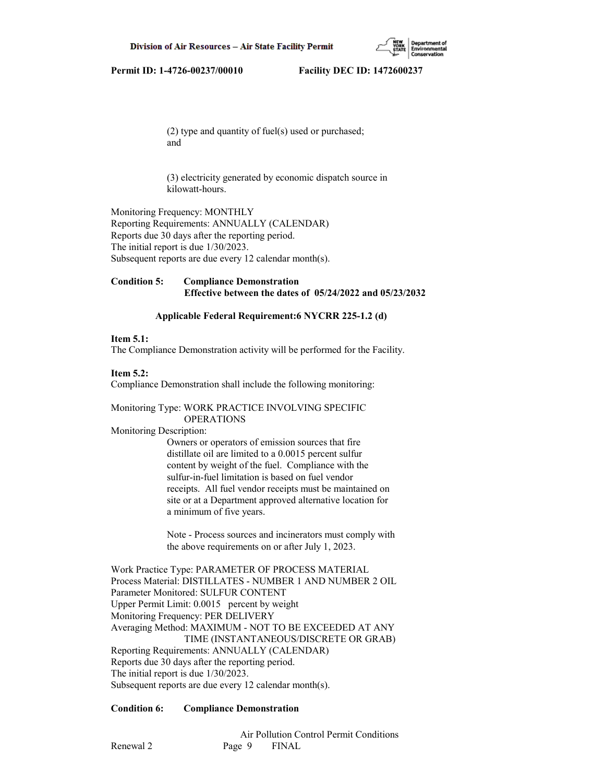

 (2) type and quantity of fuel(s) used or purchased; and

 (3) electricity generated by economic dispatch source in kilowatt-hours.

Monitoring Frequency: MONTHLY Reporting Requirements: ANNUALLY (CALENDAR) Reports due 30 days after the reporting period. The initial report is due 1/30/2023. Subsequent reports are due every 12 calendar month(s).

# **Condition 5: Compliance Demonstration Effective between the dates of 05/24/2022 and 05/23/2032**

## **Applicable Federal Requirement:6 NYCRR 225-1.2 (d)**

#### **Item 5.1:**

The Compliance Demonstration activity will be performed for the Facility.

#### **Item 5.2:**

Compliance Demonstration shall include the following monitoring:

# Monitoring Type: WORK PRACTICE INVOLVING SPECIFIC OPERATIONS

Monitoring Description:

 Owners or operators of emission sources that fire distillate oil are limited to a 0.0015 percent sulfur content by weight of the fuel. Compliance with the sulfur-in-fuel limitation is based on fuel vendor receipts. All fuel vendor receipts must be maintained on site or at a Department approved alternative location for a minimum of five years.

 Note - Process sources and incinerators must comply with the above requirements on or after July 1, 2023.

Work Practice Type: PARAMETER OF PROCESS MATERIAL Process Material: DISTILLATES - NUMBER 1 AND NUMBER 2 OIL Parameter Monitored: SULFUR CONTENT Upper Permit Limit: 0.0015 percent by weight Monitoring Frequency: PER DELIVERY Averaging Method: MAXIMUM - NOT TO BE EXCEEDED AT ANY TIME (INSTANTANEOUS/DISCRETE OR GRAB) Reporting Requirements: ANNUALLY (CALENDAR) Reports due 30 days after the reporting period. The initial report is due 1/30/2023. Subsequent reports are due every 12 calendar month(s).

### **Condition 6: Compliance Demonstration**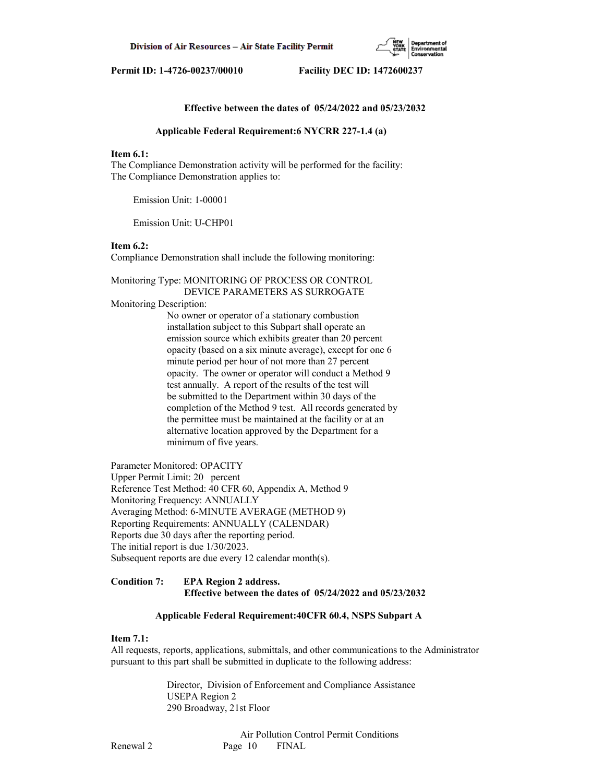

# **Effective between the dates of 05/24/2022 and 05/23/2032**

#### **Applicable Federal Requirement:6 NYCRR 227-1.4 (a)**

#### **Item 6.1:**

The Compliance Demonstration activity will be performed for the facility: The Compliance Demonstration applies to:

Emission Unit: 1-00001

Emission Unit: U-CHP01

#### **Item 6.2:**

Compliance Demonstration shall include the following monitoring:

Monitoring Type: MONITORING OF PROCESS OR CONTROL DEVICE PARAMETERS AS SURROGATE

# Monitoring Description:

 No owner or operator of a stationary combustion installation subject to this Subpart shall operate an emission source which exhibits greater than 20 percent opacity (based on a six minute average), except for one 6 minute period per hour of not more than 27 percent opacity. The owner or operator will conduct a Method 9 test annually. A report of the results of the test will be submitted to the Department within 30 days of the completion of the Method 9 test. All records generated by the permittee must be maintained at the facility or at an alternative location approved by the Department for a minimum of five years.

Parameter Monitored: OPACITY Upper Permit Limit: 20 percent Reference Test Method: 40 CFR 60, Appendix A, Method 9 Monitoring Frequency: ANNUALLY Averaging Method: 6-MINUTE AVERAGE (METHOD 9) Reporting Requirements: ANNUALLY (CALENDAR) Reports due 30 days after the reporting period. The initial report is due 1/30/2023. Subsequent reports are due every 12 calendar month(s).

#### **Condition 7: EPA Region 2 address. Effective between the dates of 05/24/2022 and 05/23/2032**

#### **Applicable Federal Requirement:40CFR 60.4, NSPS Subpart A**

#### **Item 7.1:**

All requests, reports, applications, submittals, and other communications to the Administrator pursuant to this part shall be submitted in duplicate to the following address:

> Director, Division of Enforcement and Compliance Assistance USEPA Region 2 290 Broadway, 21st Floor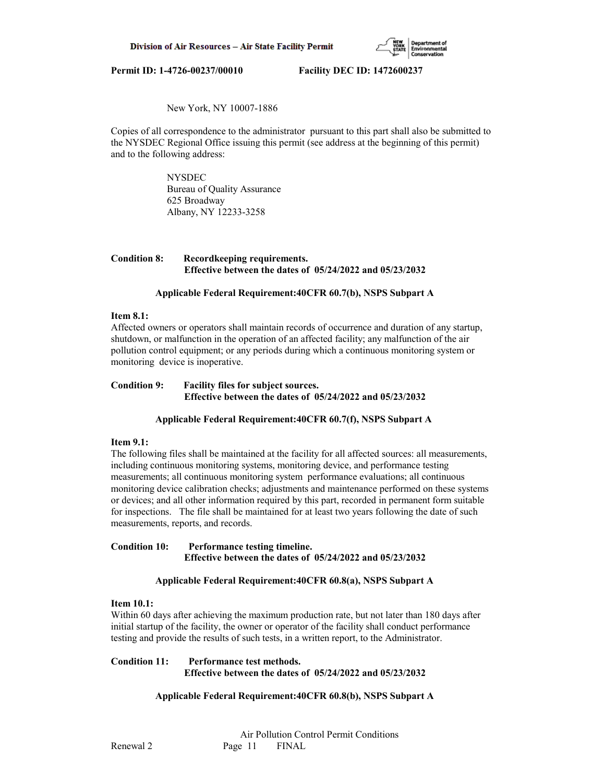

# New York, NY 10007-1886

Copies of all correspondence to the administrator pursuant to this part shall also be submitted to the NYSDEC Regional Office issuing this permit (see address at the beginning of this permit) and to the following address:

> NYSDEC Bureau of Quality Assurance 625 Broadway Albany, NY 12233-3258

# **Condition 8: Recordkeeping requirements. Effective between the dates of 05/24/2022 and 05/23/2032**

# **Applicable Federal Requirement:40CFR 60.7(b), NSPS Subpart A**

### **Item 8.1:**

Affected owners or operators shall maintain records of occurrence and duration of any startup, shutdown, or malfunction in the operation of an affected facility; any malfunction of the air pollution control equipment; or any periods during which a continuous monitoring system or monitoring device is inoperative.

# **Condition 9: Facility files for subject sources. Effective between the dates of 05/24/2022 and 05/23/2032**

# **Applicable Federal Requirement:40CFR 60.7(f), NSPS Subpart A**

## **Item 9.1:**

The following files shall be maintained at the facility for all affected sources: all measurements, including continuous monitoring systems, monitoring device, and performance testing measurements; all continuous monitoring system performance evaluations; all continuous monitoring device calibration checks; adjustments and maintenance performed on these systems or devices; and all other information required by this part, recorded in permanent form suitable for inspections. The file shall be maintained for at least two years following the date of such measurements, reports, and records.

# **Condition 10: Performance testing timeline. Effective between the dates of 05/24/2022 and 05/23/2032**

# **Applicable Federal Requirement:40CFR 60.8(a), NSPS Subpart A**

#### **Item 10.1:**

Within 60 days after achieving the maximum production rate, but not later than 180 days after initial startup of the facility, the owner or operator of the facility shall conduct performance testing and provide the results of such tests, in a written report, to the Administrator.

# **Condition 11: Performance test methods. Effective between the dates of 05/24/2022 and 05/23/2032**

 **Applicable Federal Requirement:40CFR 60.8(b), NSPS Subpart A**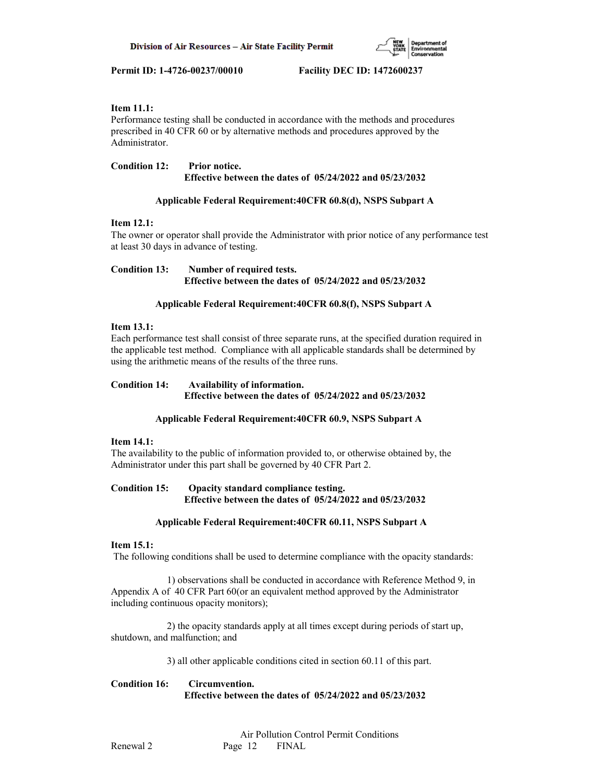

# **Item 11.1:**

Performance testing shall be conducted in accordance with the methods and procedures prescribed in 40 CFR 60 or by alternative methods and procedures approved by the Administrator.

# **Condition 12: Prior notice. Effective between the dates of 05/24/2022 and 05/23/2032**

# **Applicable Federal Requirement:40CFR 60.8(d), NSPS Subpart A**

# **Item 12.1:**

The owner or operator shall provide the Administrator with prior notice of any performance test at least 30 days in advance of testing.

**Condition 13: Number of required tests. Effective between the dates of 05/24/2022 and 05/23/2032**

# **Applicable Federal Requirement:40CFR 60.8(f), NSPS Subpart A**

# **Item 13.1:**

Each performance test shall consist of three separate runs, at the specified duration required in the applicable test method. Compliance with all applicable standards shall be determined by using the arithmetic means of the results of the three runs.

# **Condition 14: Availability of information. Effective between the dates of 05/24/2022 and 05/23/2032**

# **Applicable Federal Requirement:40CFR 60.9, NSPS Subpart A**

# **Item 14.1:**

The availability to the public of information provided to, or otherwise obtained by, the Administrator under this part shall be governed by 40 CFR Part 2.

# **Condition 15: Opacity standard compliance testing. Effective between the dates of 05/24/2022 and 05/23/2032**

# **Applicable Federal Requirement:40CFR 60.11, NSPS Subpart A**

# **Item 15.1:**

The following conditions shall be used to determine compliance with the opacity standards:

 1) observations shall be conducted in accordance with Reference Method 9, in Appendix A of 40 CFR Part 60(or an equivalent method approved by the Administrator including continuous opacity monitors);

 2) the opacity standards apply at all times except during periods of start up, shutdown, and malfunction; and

3) all other applicable conditions cited in section 60.11 of this part.

# **Condition 16: Circumvention. Effective between the dates of 05/24/2022 and 05/23/2032**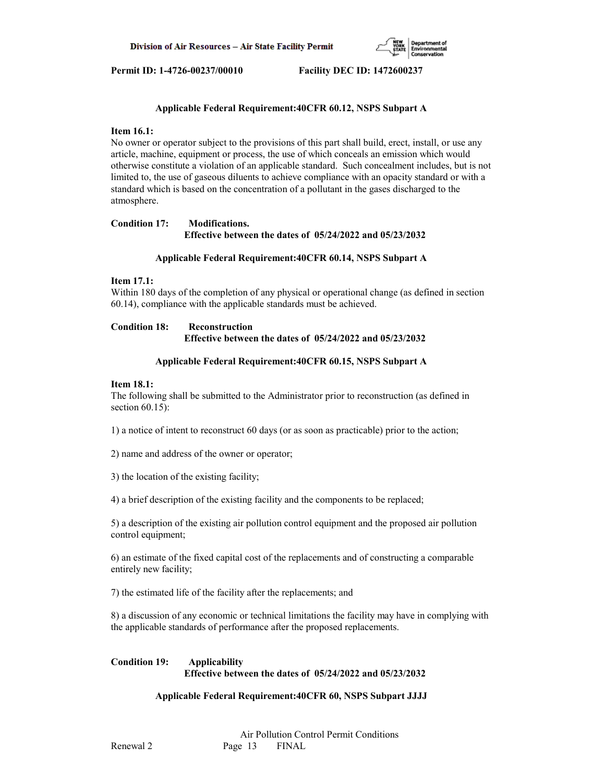

# **Applicable Federal Requirement:40CFR 60.12, NSPS Subpart A**

# **Item 16.1:**

No owner or operator subject to the provisions of this part shall build, erect, install, or use any article, machine, equipment or process, the use of which conceals an emission which would otherwise constitute a violation of an applicable standard. Such concealment includes, but is not limited to, the use of gaseous diluents to achieve compliance with an opacity standard or with a standard which is based on the concentration of a pollutant in the gases discharged to the atmosphere.

# **Condition 17: Modifications. Effective between the dates of 05/24/2022 and 05/23/2032**

# **Applicable Federal Requirement:40CFR 60.14, NSPS Subpart A**

# **Item 17.1:**

Within 180 days of the completion of any physical or operational change (as defined in section 60.14), compliance with the applicable standards must be achieved.

# **Condition 18: Reconstruction Effective between the dates of 05/24/2022 and 05/23/2032**

# **Applicable Federal Requirement:40CFR 60.15, NSPS Subpart A**

# **Item 18.1:**

The following shall be submitted to the Administrator prior to reconstruction (as defined in section 60.15):

1) a notice of intent to reconstruct 60 days (or as soon as practicable) prior to the action;

2) name and address of the owner or operator;

3) the location of the existing facility;

4) a brief description of the existing facility and the components to be replaced;

5) a description of the existing air pollution control equipment and the proposed air pollution control equipment;

6) an estimate of the fixed capital cost of the replacements and of constructing a comparable entirely new facility;

7) the estimated life of the facility after the replacements; and

8) a discussion of any economic or technical limitations the facility may have in complying with the applicable standards of performance after the proposed replacements.

# **Condition 19: Applicability Effective between the dates of 05/24/2022 and 05/23/2032**

# **Applicable Federal Requirement:40CFR 60, NSPS Subpart JJJJ**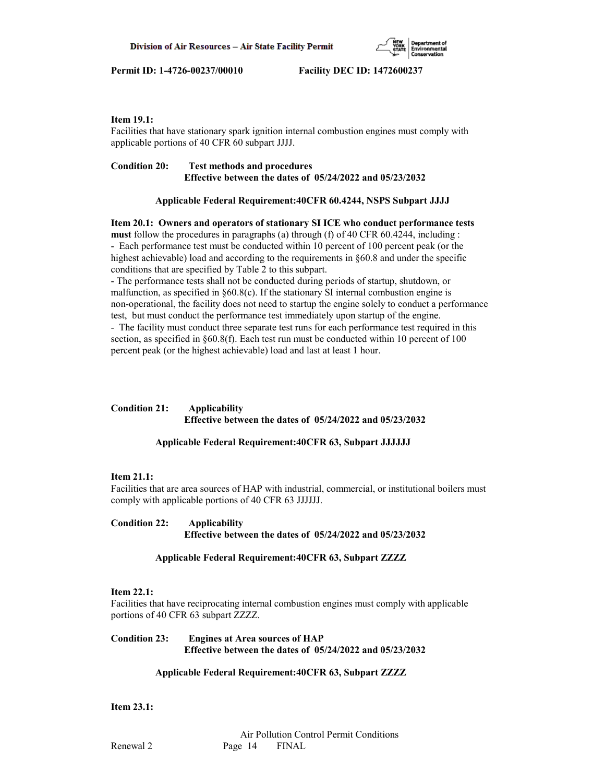

# **Item 19.1:**

Facilities that have stationary spark ignition internal combustion engines must comply with applicable portions of 40 CFR 60 subpart JJJJ.

# **Condition 20: Test methods and procedures Effective between the dates of 05/24/2022 and 05/23/2032**

# **Applicable Federal Requirement:40CFR 60.4244, NSPS Subpart JJJJ**

**Item 20.1: Owners and operators of stationary SI ICE who conduct performance tests must** follow the procedures in paragraphs (a) through (f) of 40 CFR 60.4244, including : - Each performance test must be conducted within 10 percent of 100 percent peak (or the highest achievable) load and according to the requirements in §60.8 and under the specific conditions that are specified by Table 2 to this subpart.

- The performance tests shall not be conducted during periods of startup, shutdown, or malfunction, as specified in §60.8(c). If the stationary SI internal combustion engine is non-operational, the facility does not need to startup the engine solely to conduct a performance test, but must conduct the performance test immediately upon startup of the engine.

- The facility must conduct three separate test runs for each performance test required in this section, as specified in §60.8(f). Each test run must be conducted within 10 percent of 100 percent peak (or the highest achievable) load and last at least 1 hour.

# **Condition 21: Applicability Effective between the dates of 05/24/2022 and 05/23/2032**

# **Applicable Federal Requirement:40CFR 63, Subpart JJJJJJ**

# **Item 21.1:**

Facilities that are area sources of HAP with industrial, commercial, or institutional boilers must comply with applicable portions of 40 CFR 63 JJJJJJ.

# **Condition 22: Applicability Effective between the dates of 05/24/2022 and 05/23/2032**

# **Applicable Federal Requirement:40CFR 63, Subpart ZZZZ**

# **Item 22.1:**

Facilities that have reciprocating internal combustion engines must comply with applicable portions of 40 CFR 63 subpart ZZZZ.

# **Condition 23: Engines at Area sources of HAP Effective between the dates of 05/24/2022 and 05/23/2032**

# **Applicable Federal Requirement:40CFR 63, Subpart ZZZZ**

**Item 23.1:**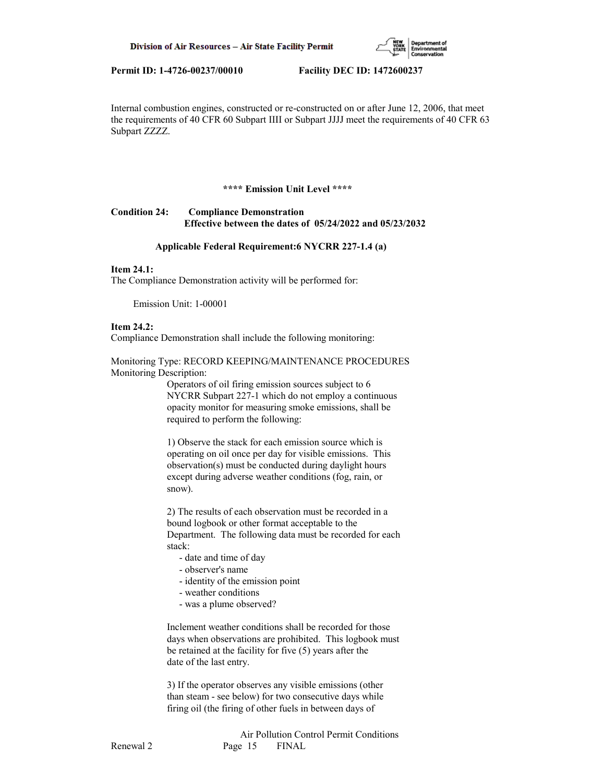

Internal combustion engines, constructed or re-constructed on or after June 12, 2006, that meet the requirements of 40 CFR 60 Subpart IIII or Subpart JJJJ meet the requirements of 40 CFR 63 Subpart ZZZZ.

#### **\*\*\*\* Emission Unit Level \*\*\*\***

# **Condition 24: Compliance Demonstration Effective between the dates of 05/24/2022 and 05/23/2032**

#### **Applicable Federal Requirement:6 NYCRR 227-1.4 (a)**

#### **Item 24.1:**

The Compliance Demonstration activity will be performed for:

Emission Unit: 1-00001

## **Item 24.2:**

Compliance Demonstration shall include the following monitoring:

# Monitoring Type: RECORD KEEPING/MAINTENANCE PROCEDURES Monitoring Description:

 Operators of oil firing emission sources subject to 6 NYCRR Subpart 227-1 which do not employ a continuous opacity monitor for measuring smoke emissions, shall be required to perform the following:

 1) Observe the stack for each emission source which is operating on oil once per day for visible emissions. This observation(s) must be conducted during daylight hours except during adverse weather conditions (fog, rain, or snow).

 2) The results of each observation must be recorded in a bound logbook or other format acceptable to the Department. The following data must be recorded for each stack:

- date and time of day
- observer's name
- identity of the emission point
- weather conditions
- was a plume observed?

 Inclement weather conditions shall be recorded for those days when observations are prohibited. This logbook must be retained at the facility for five (5) years after the date of the last entry.

 3) If the operator observes any visible emissions (other than steam - see below) for two consecutive days while firing oil (the firing of other fuels in between days of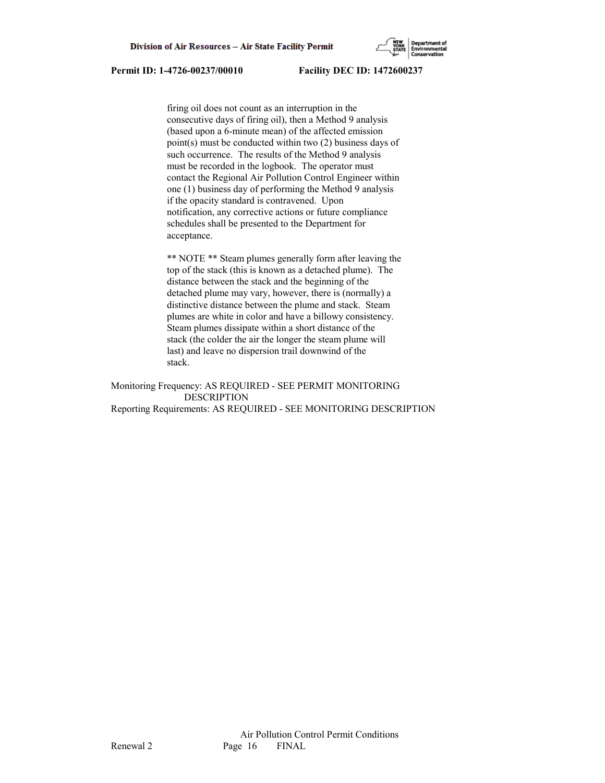

 firing oil does not count as an interruption in the consecutive days of firing oil), then a Method 9 analysis (based upon a 6-minute mean) of the affected emission point(s) must be conducted within two (2) business days of such occurrence. The results of the Method 9 analysis must be recorded in the logbook. The operator must contact the Regional Air Pollution Control Engineer within one (1) business day of performing the Method 9 analysis if the opacity standard is contravened. Upon notification, any corrective actions or future compliance schedules shall be presented to the Department for acceptance.

 \*\* NOTE \*\* Steam plumes generally form after leaving the top of the stack (this is known as a detached plume). The distance between the stack and the beginning of the detached plume may vary, however, there is (normally) a distinctive distance between the plume and stack. Steam plumes are white in color and have a billowy consistency. Steam plumes dissipate within a short distance of the stack (the colder the air the longer the steam plume will last) and leave no dispersion trail downwind of the stack.

Monitoring Frequency: AS REQUIRED - SEE PERMIT MONITORING DESCRIPTION Reporting Requirements: AS REQUIRED - SEE MONITORING DESCRIPTION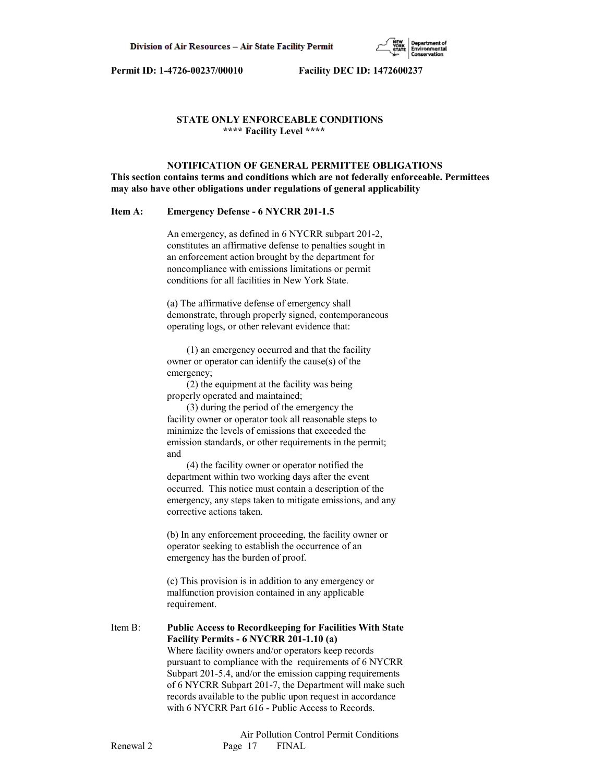

## **STATE ONLY ENFORCEABLE CONDITIONS \*\*\*\* Facility Level \*\*\*\***

# **NOTIFICATION OF GENERAL PERMITTEE OBLIGATIONS This section contains terms and conditions which are not federally enforceable. Permittees may also have other obligations under regulations of general applicability**

#### **Item A: Emergency Defense - 6 NYCRR 201-1.5**

 An emergency, as defined in 6 NYCRR subpart 201-2, constitutes an affirmative defense to penalties sought in an enforcement action brought by the department for noncompliance with emissions limitations or permit conditions for all facilities in New York State.

 (a) The affirmative defense of emergency shall demonstrate, through properly signed, contemporaneous operating logs, or other relevant evidence that:

 (1) an emergency occurred and that the facility owner or operator can identify the cause(s) of the emergency;

 (2) the equipment at the facility was being properly operated and maintained;

 (3) during the period of the emergency the facility owner or operator took all reasonable steps to minimize the levels of emissions that exceeded the emission standards, or other requirements in the permit; and

 (4) the facility owner or operator notified the department within two working days after the event occurred. This notice must contain a description of the emergency, any steps taken to mitigate emissions, and any corrective actions taken.

 (b) In any enforcement proceeding, the facility owner or operator seeking to establish the occurrence of an emergency has the burden of proof.

 (c) This provision is in addition to any emergency or malfunction provision contained in any applicable requirement.

Item B: **Public Access to Recordkeeping for Facilities With State Facility Permits - 6 NYCRR 201-1.10 (a)** Where facility owners and/or operators keep records pursuant to compliance with the requirements of 6 NYCRR Subpart 201-5.4, and/or the emission capping requirements of 6 NYCRR Subpart 201-7, the Department will make such records available to the public upon request in accordance with 6 NYCRR Part 616 - Public Access to Records.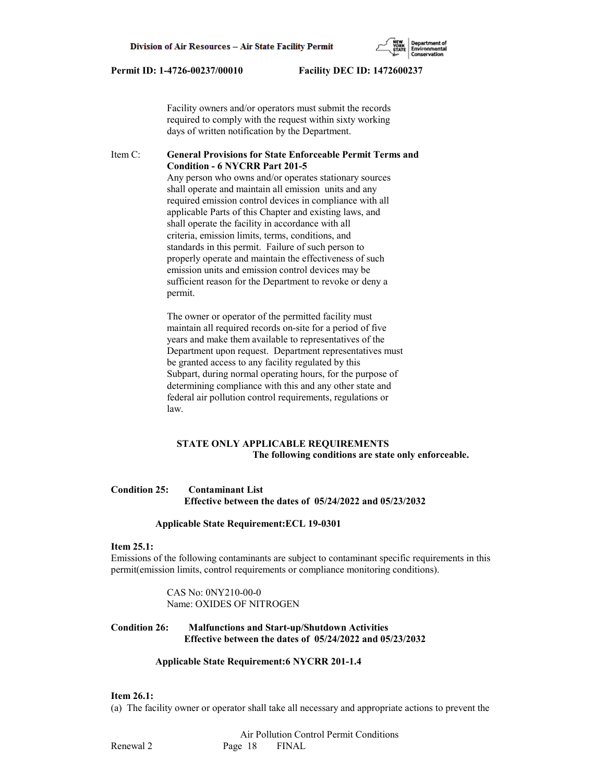Facility owners and/or operators must submit the records required to comply with the request within sixty working days of written notification by the Department.

# Item C: **General Provisions for State Enforceable Permit Terms and Condition - 6 NYCRR Part 201-5**

 Any person who owns and/or operates stationary sources shall operate and maintain all emission units and any required emission control devices in compliance with all applicable Parts of this Chapter and existing laws, and shall operate the facility in accordance with all criteria, emission limits, terms, conditions, and standards in this permit. Failure of such person to properly operate and maintain the effectiveness of such emission units and emission control devices may be sufficient reason for the Department to revoke or deny a permit.

 The owner or operator of the permitted facility must maintain all required records on-site for a period of five years and make them available to representatives of the Department upon request. Department representatives must be granted access to any facility regulated by this Subpart, during normal operating hours, for the purpose of determining compliance with this and any other state and federal air pollution control requirements, regulations or law.

# **STATE ONLY APPLICABLE REQUIREMENTS The following conditions are state only enforceable.**

# **Condition 25: Contaminant List Effective between the dates of 05/24/2022 and 05/23/2032**

#### **Applicable State Requirement:ECL 19-0301**

#### **Item 25.1:**

Emissions of the following contaminants are subject to contaminant specific requirements in this permit(emission limits, control requirements or compliance monitoring conditions).

> CAS No: 0NY210-00-0 Name: OXIDES OF NITROGEN

# **Condition 26: Malfunctions and Start-up/Shutdown Activities Effective between the dates of 05/24/2022 and 05/23/2032**

#### **Applicable State Requirement:6 NYCRR 201-1.4**

# **Item 26.1:**

(a) The facility owner or operator shall take all necessary and appropriate actions to prevent the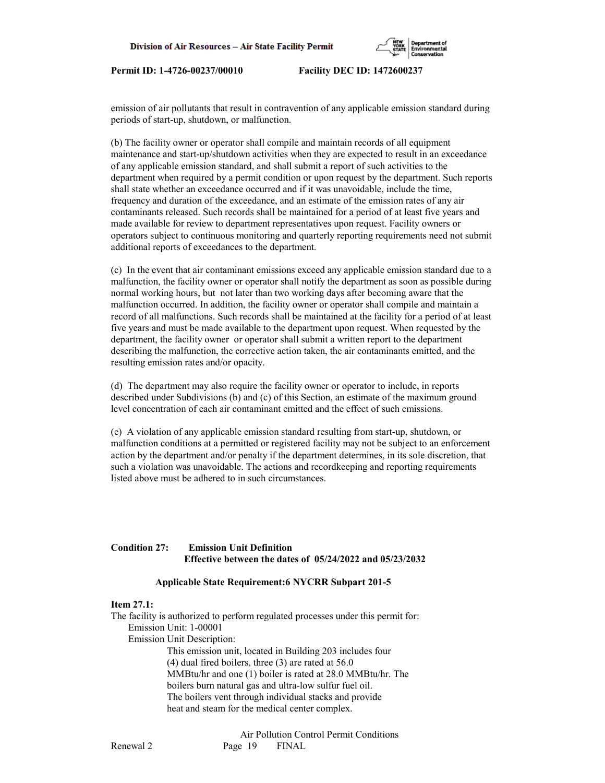

emission of air pollutants that result in contravention of any applicable emission standard during periods of start-up, shutdown, or malfunction.

(b) The facility owner or operator shall compile and maintain records of all equipment maintenance and start-up/shutdown activities when they are expected to result in an exceedance of any applicable emission standard, and shall submit a report of such activities to the department when required by a permit condition or upon request by the department. Such reports shall state whether an exceedance occurred and if it was unavoidable, include the time, frequency and duration of the exceedance, and an estimate of the emission rates of any air contaminants released. Such records shall be maintained for a period of at least five years and made available for review to department representatives upon request. Facility owners or operators subject to continuous monitoring and quarterly reporting requirements need not submit additional reports of exceedances to the department.

(c) In the event that air contaminant emissions exceed any applicable emission standard due to a malfunction, the facility owner or operator shall notify the department as soon as possible during normal working hours, but not later than two working days after becoming aware that the malfunction occurred. In addition, the facility owner or operator shall compile and maintain a record of all malfunctions. Such records shall be maintained at the facility for a period of at least five years and must be made available to the department upon request. When requested by the department, the facility owner or operator shall submit a written report to the department describing the malfunction, the corrective action taken, the air contaminants emitted, and the resulting emission rates and/or opacity.

(d) The department may also require the facility owner or operator to include, in reports described under Subdivisions (b) and (c) of this Section, an estimate of the maximum ground level concentration of each air contaminant emitted and the effect of such emissions.

(e) A violation of any applicable emission standard resulting from start-up, shutdown, or malfunction conditions at a permitted or registered facility may not be subject to an enforcement action by the department and/or penalty if the department determines, in its sole discretion, that such a violation was unavoidable. The actions and recordkeeping and reporting requirements listed above must be adhered to in such circumstances.

# **Condition 27: Emission Unit Definition Effective between the dates of 05/24/2022 and 05/23/2032**

#### **Applicable State Requirement:6 NYCRR Subpart 201-5**

# **Item 27.1:**

The facility is authorized to perform regulated processes under this permit for: Emission Unit: 1-00001 Emission Unit Description: This emission unit, located in Building 203 includes four (4) dual fired boilers, three (3) are rated at 56.0 MMBtu/hr and one (1) boiler is rated at 28.0 MMBtu/hr. The boilers burn natural gas and ultra-low sulfur fuel oil. The boilers vent through individual stacks and provide heat and steam for the medical center complex.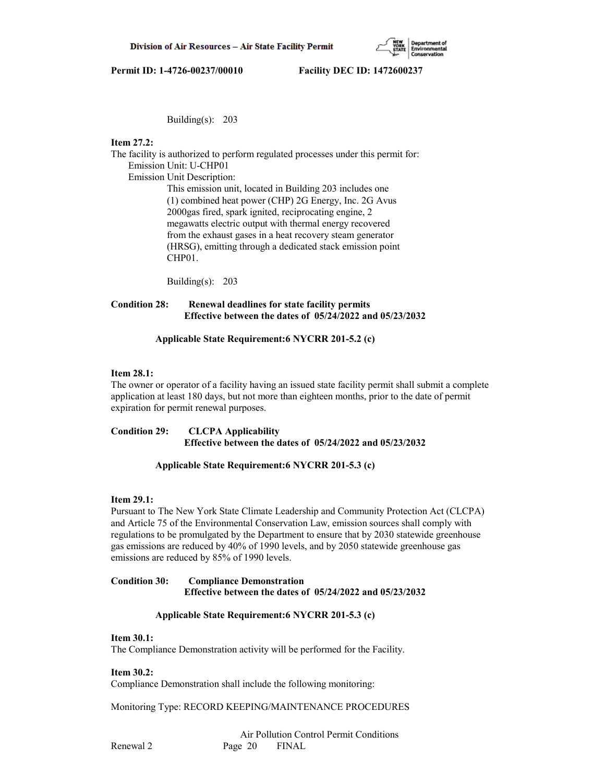

Building(s): 203

# **Item 27.2:**

The facility is authorized to perform regulated processes under this permit for: Emission Unit: U-CHP01

Emission Unit Description:

 This emission unit, located in Building 203 includes one (1) combined heat power (CHP) 2G Energy, Inc. 2G Avus 2000gas fired, spark ignited, reciprocating engine, 2 megawatts electric output with thermal energy recovered from the exhaust gases in a heat recovery steam generator (HRSG), emitting through a dedicated stack emission point CHP01.

Building(s): 203

# **Condition 28: Renewal deadlines for state facility permits Effective between the dates of 05/24/2022 and 05/23/2032**

# **Applicable State Requirement:6 NYCRR 201-5.2 (c)**

# **Item 28.1:**

The owner or operator of a facility having an issued state facility permit shall submit a complete application at least 180 days, but not more than eighteen months, prior to the date of permit expiration for permit renewal purposes.

**Condition 29: CLCPA Applicability Effective between the dates of 05/24/2022 and 05/23/2032**

# **Applicable State Requirement:6 NYCRR 201-5.3 (c)**

# **Item 29.1:**

Pursuant to The New York State Climate Leadership and Community Protection Act (CLCPA) and Article 75 of the Environmental Conservation Law, emission sources shall comply with regulations to be promulgated by the Department to ensure that by 2030 statewide greenhouse gas emissions are reduced by 40% of 1990 levels, and by 2050 statewide greenhouse gas emissions are reduced by 85% of 1990 levels.

# **Condition 30: Compliance Demonstration Effective between the dates of 05/24/2022 and 05/23/2032**

# **Applicable State Requirement:6 NYCRR 201-5.3 (c)**

# **Item 30.1:**

The Compliance Demonstration activity will be performed for the Facility.

# **Item 30.2:**

Compliance Demonstration shall include the following monitoring:

Monitoring Type: RECORD KEEPING/MAINTENANCE PROCEDURES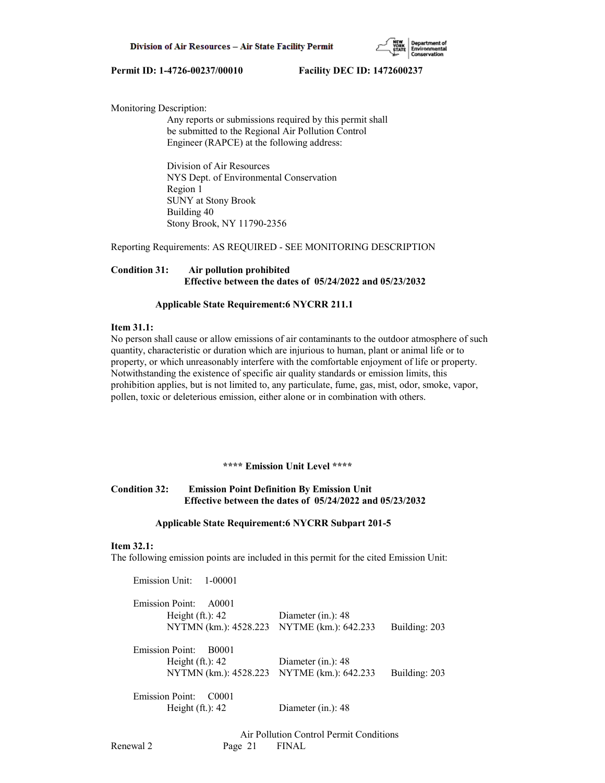

Monitoring Description:

 Any reports or submissions required by this permit shall be submitted to the Regional Air Pollution Control Engineer (RAPCE) at the following address:

 Division of Air Resources NYS Dept. of Environmental Conservation Region 1 SUNY at Stony Brook Building 40 Stony Brook, NY 11790-2356

Reporting Requirements: AS REQUIRED - SEE MONITORING DESCRIPTION

# **Condition 31: Air pollution prohibited Effective between the dates of 05/24/2022 and 05/23/2032**

# **Applicable State Requirement:6 NYCRR 211.1**

# **Item 31.1:**

No person shall cause or allow emissions of air contaminants to the outdoor atmosphere of such quantity, characteristic or duration which are injurious to human, plant or animal life or to property, or which unreasonably interfere with the comfortable enjoyment of life or property. Notwithstanding the existence of specific air quality standards or emission limits, this prohibition applies, but is not limited to, any particulate, fume, gas, mist, odor, smoke, vapor, pollen, toxic or deleterious emission, either alone or in combination with others.

# **\*\*\*\* Emission Unit Level \*\*\*\***

# **Condition 32: Emission Point Definition By Emission Unit Effective between the dates of 05/24/2022 and 05/23/2032**

#### **Applicable State Requirement:6 NYCRR Subpart 201-5**

# **Item 32.1:**

The following emission points are included in this permit for the cited Emission Unit:

 Emission Unit: 1-00001 Emission Point: A0001 Height (ft.): 42 Diameter (in.): 48 NYTMN (km.): 4528.223 NYTME (km.): 642.233 Building: 203 Emission Point: B0001 Height (ft.): 42 Diameter (in.): 48 NYTMN (km.): 4528.223 NYTME (km.): 642.233 Building: 203 Emission Point: C0001 Height (ft.): 42 Diameter (in.): 48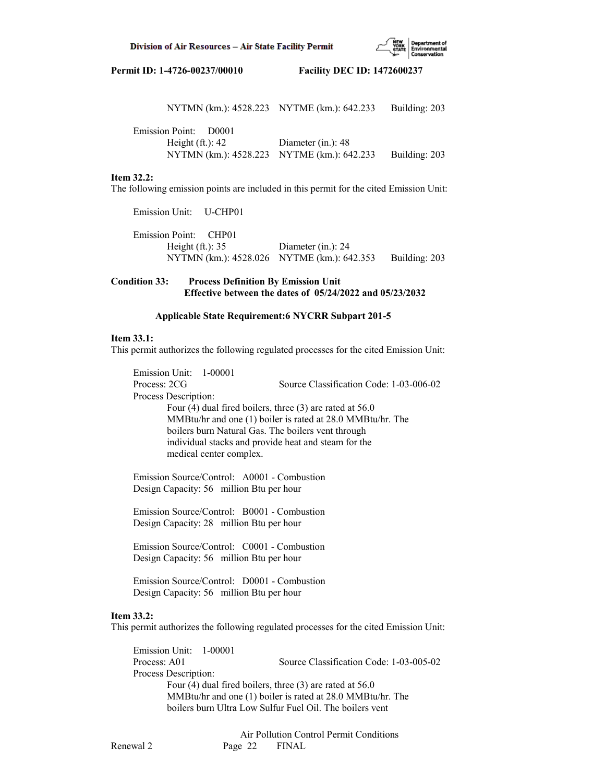

| NYTMN (km.): 4528.223 NYTME (km.): 642.233 |                    | Building: 203 |
|--------------------------------------------|--------------------|---------------|
| Emission Point: D0001                      |                    |               |
| Height $(ft.): 42$                         | Diameter (in.): 48 |               |
| NYTMN (km.): 4528.223 NYTME (km.): 642.233 |                    | Building: 203 |

#### **Item 32.2:**

The following emission points are included in this permit for the cited Emission Unit:

 Emission Unit: U-CHP01 Emission Point: CHP01 Height (ft.): 35 Diameter (in.): 24 NYTMN (km.): 4528.026 NYTME (km.): 642.353 Building: 203

# **Condition 33: Process Definition By Emission Unit Effective between the dates of 05/24/2022 and 05/23/2032**

### **Applicable State Requirement:6 NYCRR Subpart 201-5**

#### **Item 33.1:**

This permit authorizes the following regulated processes for the cited Emission Unit:

 Emission Unit: 1-00001 Process: 2CG Source Classification Code: 1-03-006-02 Process Description: Four (4) dual fired boilers, three (3) are rated at 56.0 MMBtu/hr and one (1) boiler is rated at 28.0 MMBtu/hr. The boilers burn Natural Gas. The boilers vent through individual stacks and provide heat and steam for the medical center complex.

 Emission Source/Control: A0001 - Combustion Design Capacity: 56 million Btu per hour

 Emission Source/Control: B0001 - Combustion Design Capacity: 28 million Btu per hour

 Emission Source/Control: C0001 - Combustion Design Capacity: 56 million Btu per hour

 Emission Source/Control: D0001 - Combustion Design Capacity: 56 million Btu per hour

#### **Item 33.2:**

This permit authorizes the following regulated processes for the cited Emission Unit:

 Emission Unit: 1-00001 Process: A01 Source Classification Code: 1-03-005-02 Process Description: Four (4) dual fired boilers, three (3) are rated at 56.0 MMBtu/hr and one (1) boiler is rated at 28.0 MMBtu/hr. The boilers burn Ultra Low Sulfur Fuel Oil. The boilers vent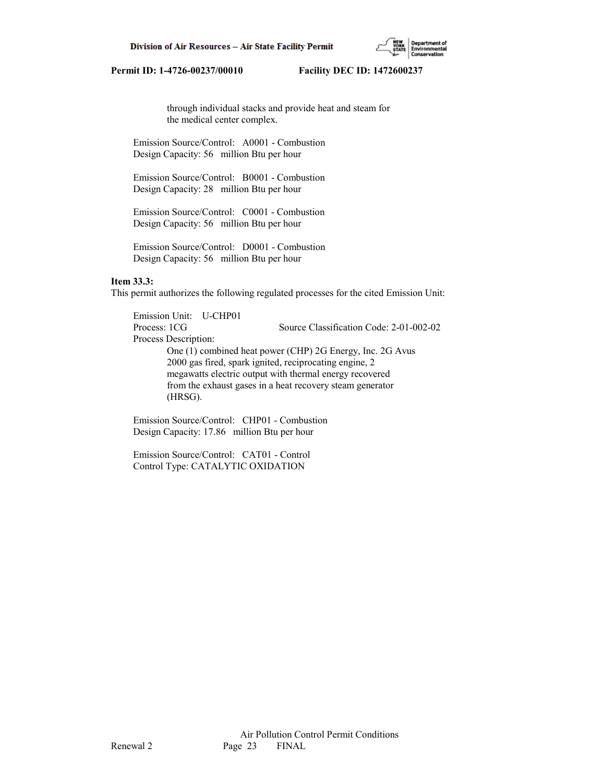through individual stacks and provide heat and steam for the medical center complex.

 Emission Source/Control: A0001 - Combustion Design Capacity: 56 million Btu per hour

 Emission Source/Control: B0001 - Combustion Design Capacity: 28 million Btu per hour

 Emission Source/Control: C0001 - Combustion Design Capacity: 56 million Btu per hour

 Emission Source/Control: D0001 - Combustion Design Capacity: 56 million Btu per hour

### **Item 33.3:**

This permit authorizes the following regulated processes for the cited Emission Unit:

 Emission Unit: U-CHP01 Process: 1CG Source Classification Code: 2-01-002-02 Process Description: One (1) combined heat power (CHP) 2G Energy, Inc. 2G Avus 2000 gas fired, spark ignited, reciprocating engine, 2 megawatts electric output with thermal energy recovered from the exhaust gases in a heat recovery steam generator (HRSG).

 Emission Source/Control: CHP01 - Combustion Design Capacity: 17.86 million Btu per hour

 Emission Source/Control: CAT01 - Control Control Type: CATALYTIC OXIDATION